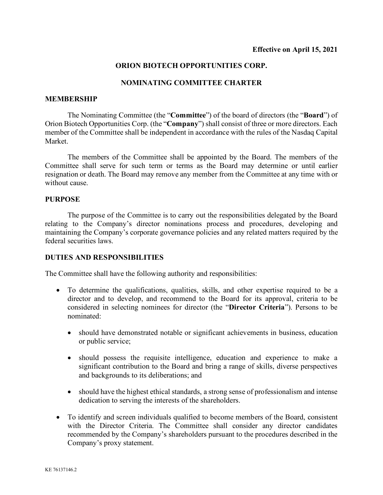# **ORION BIOTECH OPPORTUNITIES CORP.**

## **NOMINATING COMMITTEE CHARTER**

#### **MEMBERSHIP**

The Nominating Committee (the "**Committee**") of the board of directors (the "**Board**") of Orion Biotech Opportunities Corp. (the "**Company**") shall consist of three or more directors. Each member of the Committee shall be independent in accordance with the rules of the Nasdaq Capital Market.

The members of the Committee shall be appointed by the Board. The members of the Committee shall serve for such term or terms as the Board may determine or until earlier resignation or death. The Board may remove any member from the Committee at any time with or without cause.

### **PURPOSE**

The purpose of the Committee is to carry out the responsibilities delegated by the Board relating to the Company's director nominations process and procedures, developing and maintaining the Company's corporate governance policies and any related matters required by the federal securities laws.

### **DUTIES AND RESPONSIBILITIES**

The Committee shall have the following authority and responsibilities:

- To determine the qualifications, qualities, skills, and other expertise required to be a director and to develop, and recommend to the Board for its approval, criteria to be considered in selecting nominees for director (the "**Director Criteria**"). Persons to be nominated:
	- should have demonstrated notable or significant achievements in business, education or public service;
	- should possess the requisite intelligence, education and experience to make a significant contribution to the Board and bring a range of skills, diverse perspectives and backgrounds to its deliberations; and
	- should have the highest ethical standards, a strong sense of professionalism and intense dedication to serving the interests of the shareholders.
- To identify and screen individuals qualified to become members of the Board, consistent with the Director Criteria. The Committee shall consider any director candidates recommended by the Company's shareholders pursuant to the procedures described in the Company's proxy statement.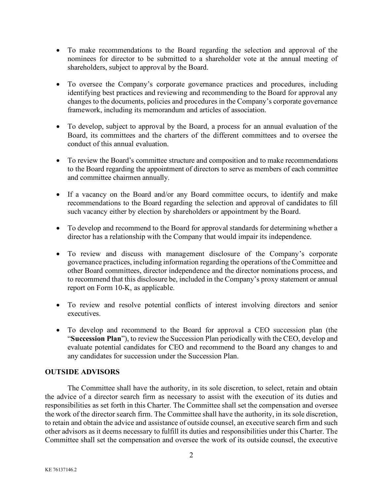- To make recommendations to the Board regarding the selection and approval of the nominees for director to be submitted to a shareholder vote at the annual meeting of shareholders, subject to approval by the Board.
- To oversee the Company's corporate governance practices and procedures, including identifying best practices and reviewing and recommending to the Board for approval any changes to the documents, policies and procedures in the Company's corporate governance framework, including its memorandum and articles of association.
- To develop, subject to approval by the Board, a process for an annual evaluation of the Board, its committees and the charters of the different committees and to oversee the conduct of this annual evaluation.
- To review the Board's committee structure and composition and to make recommendations to the Board regarding the appointment of directors to serve as members of each committee and committee chairmen annually.
- If a vacancy on the Board and/or any Board committee occurs, to identify and make recommendations to the Board regarding the selection and approval of candidates to fill such vacancy either by election by shareholders or appointment by the Board.
- To develop and recommend to the Board for approval standards for determining whether a director has a relationship with the Company that would impair its independence.
- To review and discuss with management disclosure of the Company's corporate governance practices, including information regarding the operations of the Committee and other Board committees, director independence and the director nominations process, and to recommend that this disclosure be, included in the Company's proxy statement or annual report on Form 10-K, as applicable.
- To review and resolve potential conflicts of interest involving directors and senior executives.
- To develop and recommend to the Board for approval a CEO succession plan (the "**Succession Plan**"), to review the Succession Plan periodically with the CEO, develop and evaluate potential candidates for CEO and recommend to the Board any changes to and any candidates for succession under the Succession Plan.

# **OUTSIDE ADVISORS**

The Committee shall have the authority, in its sole discretion, to select, retain and obtain the advice of a director search firm as necessary to assist with the execution of its duties and responsibilities as set forth in this Charter. The Committee shall set the compensation and oversee the work of the director search firm. The Committee shall have the authority, in its sole discretion, to retain and obtain the advice and assistance of outside counsel, an executive search firm and such other advisors as it deems necessary to fulfill its duties and responsibilities under this Charter. The Committee shall set the compensation and oversee the work of its outside counsel, the executive